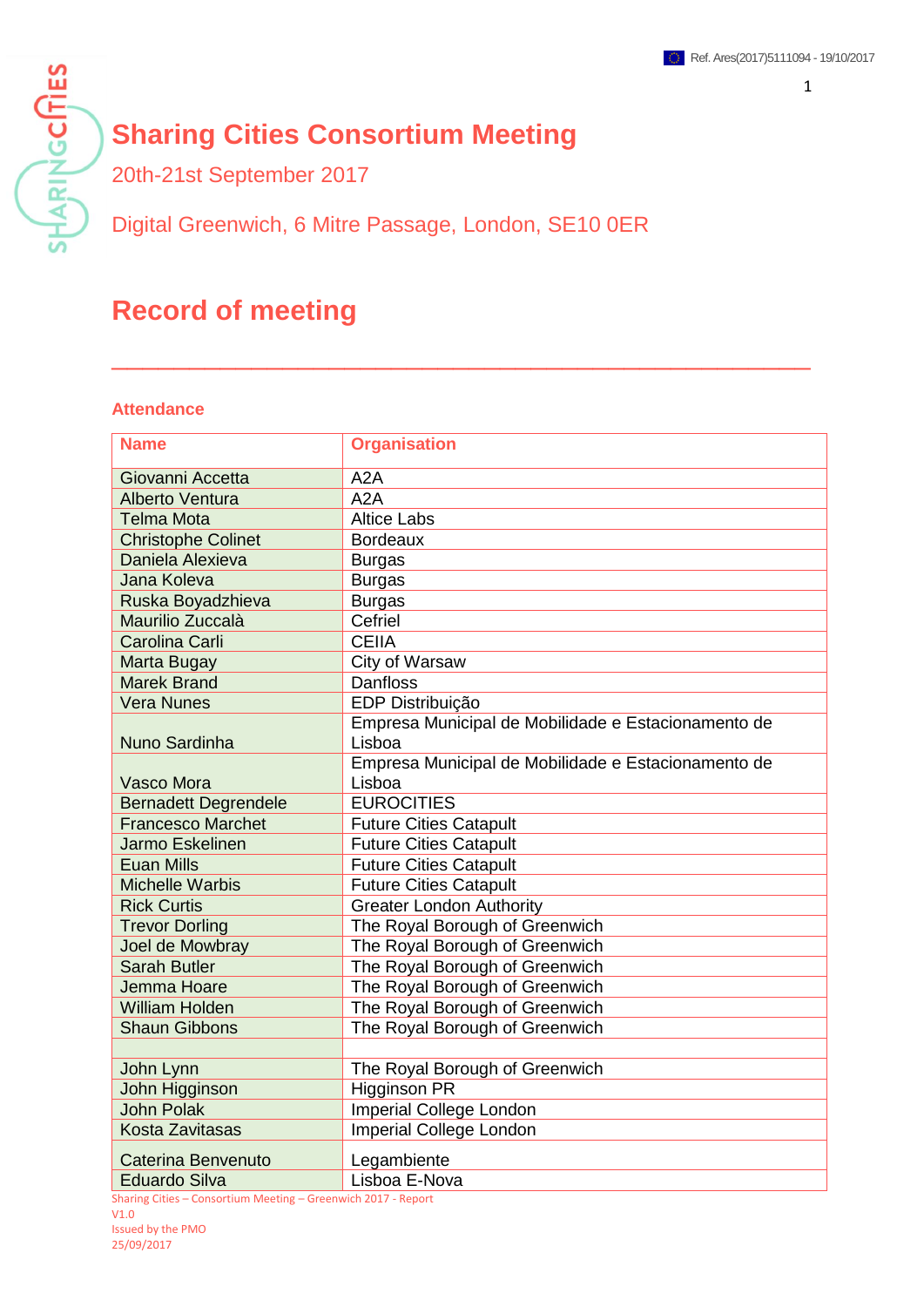# **Sharing Cities Consortium Meeting**

20th-21st September 2017

Digital Greenwich, 6 Mitre Passage, London, SE10 0ER

# **Record of meeting**

#### **Attendance**

**SHARINGCITIES** 

| <b>Name</b>                 | <b>Organisation</b>                                           |
|-----------------------------|---------------------------------------------------------------|
| Giovanni Accetta            | A <sub>2</sub> A                                              |
| <b>Alberto Ventura</b>      | A2A                                                           |
| <b>Telma Mota</b>           | <b>Altice Labs</b>                                            |
| <b>Christophe Colinet</b>   | <b>Bordeaux</b>                                               |
| Daniela Alexieva            | <b>Burgas</b>                                                 |
| Jana Koleva                 | <b>Burgas</b>                                                 |
| Ruska Boyadzhieva           | <b>Burgas</b>                                                 |
| Maurilio Zuccalà            | Cefriel                                                       |
| Carolina Carli              | <b>CEIIA</b>                                                  |
| Marta Bugay                 | City of Warsaw                                                |
| <b>Marek Brand</b>          | <b>Danfloss</b>                                               |
| <b>Vera Nunes</b>           | EDP Distribuição                                              |
| Nuno Sardinha               | Empresa Municipal de Mobilidade e Estacionamento de<br>Lisboa |
|                             | Empresa Municipal de Mobilidade e Estacionamento de           |
| <b>Vasco Mora</b>           | Lisboa                                                        |
| <b>Bernadett Degrendele</b> | <b>EUROCITIES</b>                                             |
| <b>Francesco Marchet</b>    | <b>Future Cities Catapult</b>                                 |
| Jarmo Eskelinen             | <b>Future Cities Catapult</b>                                 |
| <b>Euan Mills</b>           | <b>Future Cities Catapult</b>                                 |
| <b>Michelle Warbis</b>      | <b>Future Cities Catapult</b>                                 |
| <b>Rick Curtis</b>          | <b>Greater London Authority</b>                               |
| <b>Trevor Dorling</b>       | The Royal Borough of Greenwich                                |
| Joel de Mowbray             | The Royal Borough of Greenwich                                |
| <b>Sarah Butler</b>         | The Royal Borough of Greenwich                                |
| Jemma Hoare                 | The Royal Borough of Greenwich                                |
| <b>William Holden</b>       | The Royal Borough of Greenwich                                |
| <b>Shaun Gibbons</b>        | The Royal Borough of Greenwich                                |
|                             |                                                               |
| John Lynn                   | The Royal Borough of Greenwich                                |
| John Higginson              | <b>Higginson PR</b>                                           |
| <b>John Polak</b>           | Imperial College London                                       |
| <b>Kosta Zavitasas</b>      | Imperial College London                                       |
| Caterina Benvenuto          | Legambiente                                                   |
| <b>Eduardo Silva</b>        | Lisboa E-Nova                                                 |

\_\_\_\_\_\_\_\_\_\_\_\_\_\_\_\_\_\_\_\_\_\_\_\_\_\_\_\_\_\_\_\_\_\_\_\_\_\_\_\_\_\_\_\_\_

Sharing Cities – Consortium Meeting – Greenwich 2017 - Report V1.0 Issued by the PMO 25/09/2017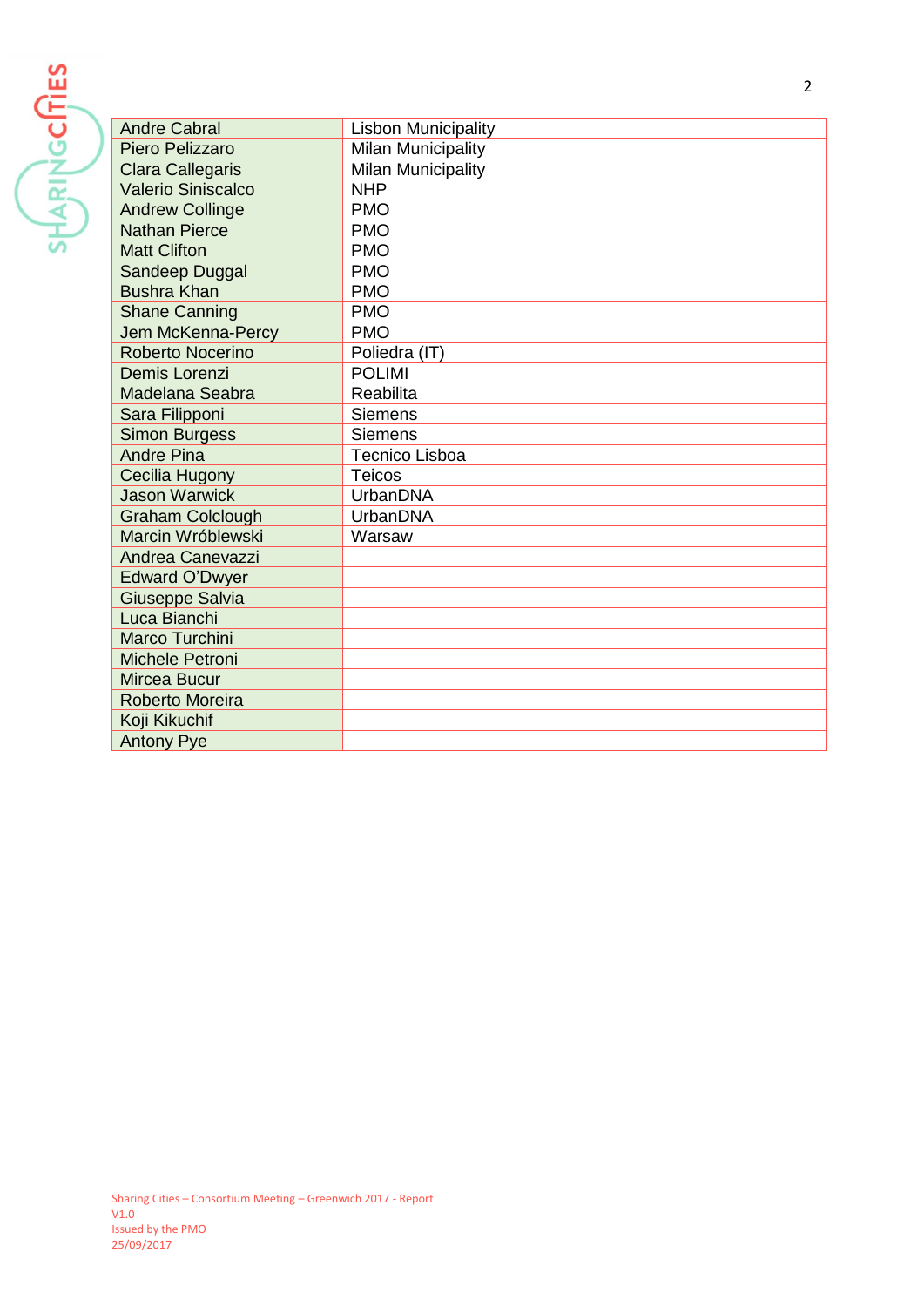**SHARINGCRIES** 

| <b>Andre Cabral</b>       | <b>Lisbon Municipality</b> |
|---------------------------|----------------------------|
| Piero Pelizzaro           | <b>Milan Municipality</b>  |
| <b>Clara Callegaris</b>   | Milan Municipality         |
| <b>Valerio Siniscalco</b> | <b>NHP</b>                 |
| <b>Andrew Collinge</b>    | <b>PMO</b>                 |
| <b>Nathan Pierce</b>      | <b>PMO</b>                 |
| <b>Matt Clifton</b>       | <b>PMO</b>                 |
| Sandeep Duggal            | <b>PMO</b>                 |
| <b>Bushra Khan</b>        | <b>PMO</b>                 |
| <b>Shane Canning</b>      | <b>PMO</b>                 |
| Jem McKenna-Percy         | <b>PMO</b>                 |
| Roberto Nocerino          | Poliedra (IT)              |
| Demis Lorenzi             | <b>POLIMI</b>              |
| <b>Madelana Seabra</b>    | Reabilita                  |
| Sara Filipponi            | <b>Siemens</b>             |
| <b>Simon Burgess</b>      | <b>Siemens</b>             |
| <b>Andre Pina</b>         | <b>Tecnico Lisboa</b>      |
| Cecilia Hugony            | <b>Teicos</b>              |
| <b>Jason Warwick</b>      | <b>UrbanDNA</b>            |
| <b>Graham Colclough</b>   | UrbanDNA                   |
| Marcin Wróblewski         | Warsaw                     |
| Andrea Canevazzi          |                            |
| Edward O'Dwyer            |                            |
| <b>Giuseppe Salvia</b>    |                            |
| Luca Bianchi              |                            |
| <b>Marco Turchini</b>     |                            |
| <b>Michele Petroni</b>    |                            |
| <b>Mircea Bucur</b>       |                            |
| Roberto Moreira           |                            |
| Koji Kikuchif             |                            |
| <b>Antony Pye</b>         |                            |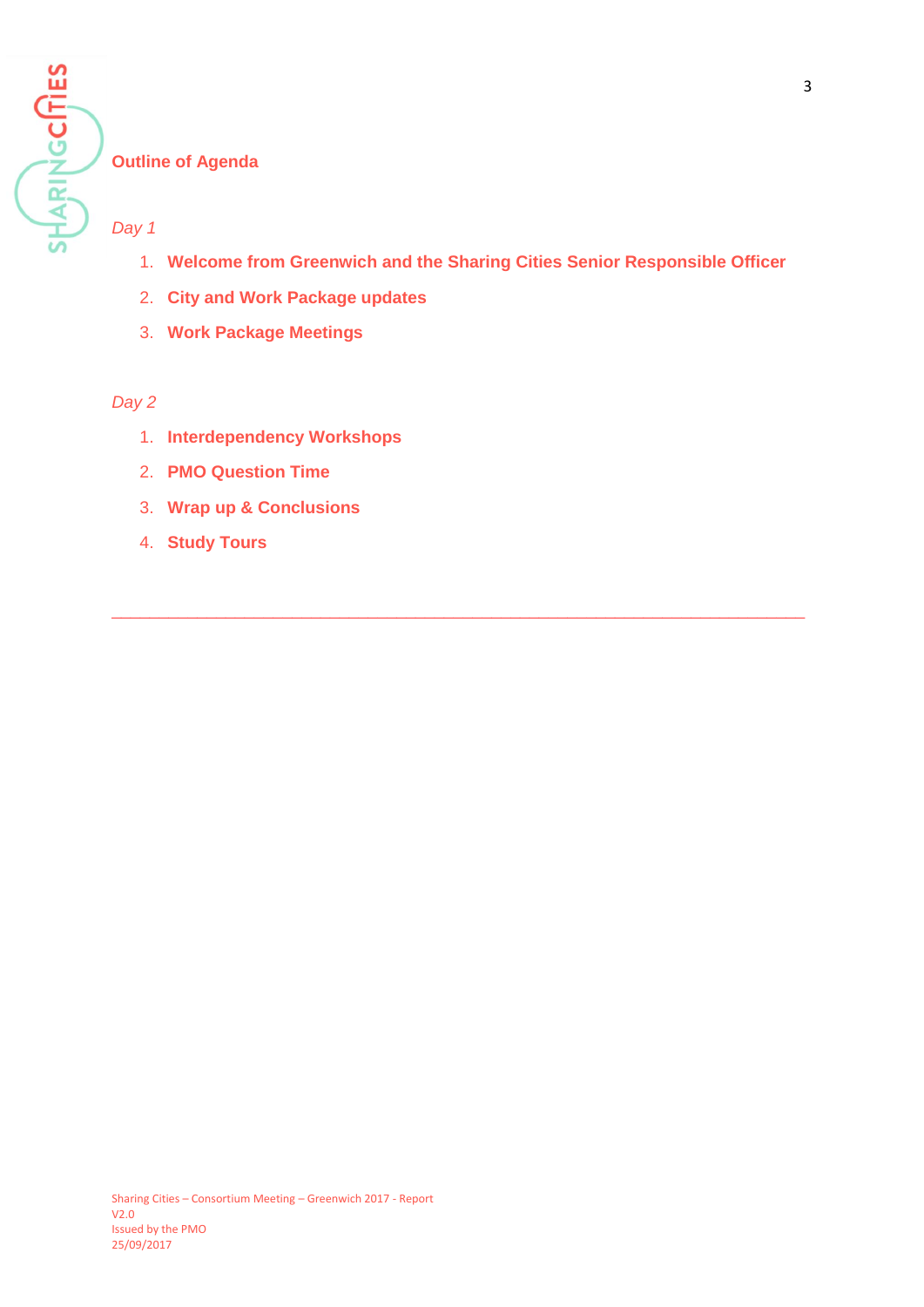

# 1. **Welcome from Greenwich and the Sharing Cities Senior Responsible Officer**

\_\_\_\_\_\_\_\_\_\_\_\_\_\_\_\_\_\_\_\_\_\_\_\_\_\_\_\_\_\_\_\_\_\_\_\_\_\_\_\_\_\_\_\_\_\_\_\_\_\_\_\_\_\_\_\_\_\_\_\_\_\_\_\_\_\_\_\_\_\_\_\_\_

- 2. **City and Work Package updates**
- 3. **Work Package Meetings**

# *Day 2*

- 1. **Interdependency Workshops**
- 2. **PMO Question Time**
- 3. **Wrap up & Conclusions**
- 4. **Study Tours**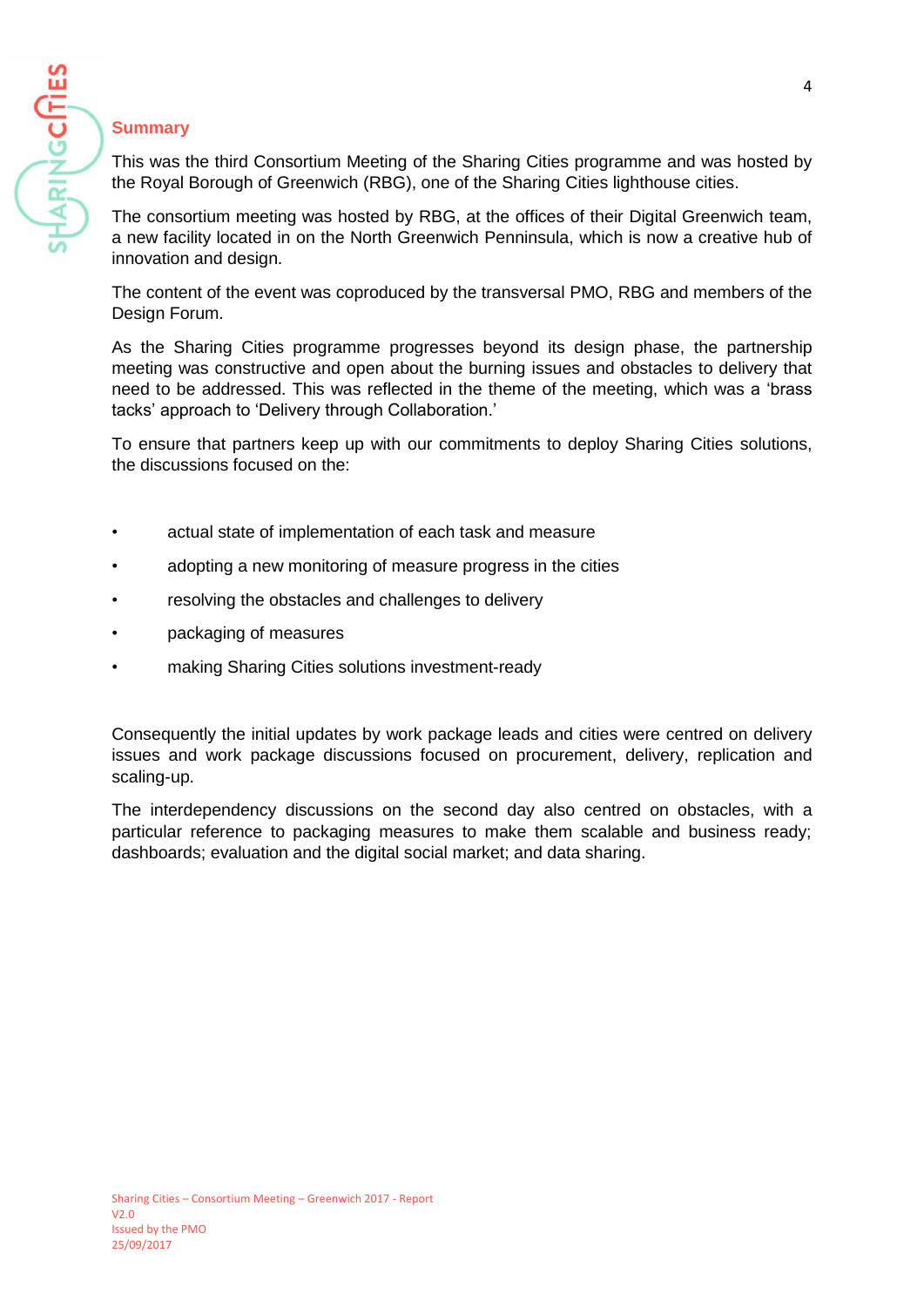

# **Summary**

This was the third Consortium Meeting of the Sharing Cities programme and was hosted by the Royal Borough of Greenwich (RBG), one of the Sharing Cities lighthouse cities.

The consortium meeting was hosted by RBG, at the offices of their Digital Greenwich team, a new facility located in on the North Greenwich Penninsula, which is now a creative hub of innovation and design.

The content of the event was coproduced by the transversal PMO, RBG and members of the Design Forum.

As the Sharing Cities programme progresses beyond its design phase, the partnership meeting was constructive and open about the burning issues and obstacles to delivery that need to be addressed. This was reflected in the theme of the meeting, which was a 'brass tacks' approach to 'Delivery through Collaboration.'

To ensure that partners keep up with our commitments to deploy Sharing Cities solutions, the discussions focused on the:

- actual state of implementation of each task and measure
- adopting a new monitoring of measure progress in the cities
- resolving the obstacles and challenges to delivery
- packaging of measures
- making Sharing Cities solutions investment-ready

Consequently the initial updates by work package leads and cities were centred on delivery issues and work package discussions focused on procurement, delivery, replication and scaling-up.

The interdependency discussions on the second day also centred on obstacles, with a particular reference to packaging measures to make them scalable and business ready; dashboards; evaluation and the digital social market; and data sharing.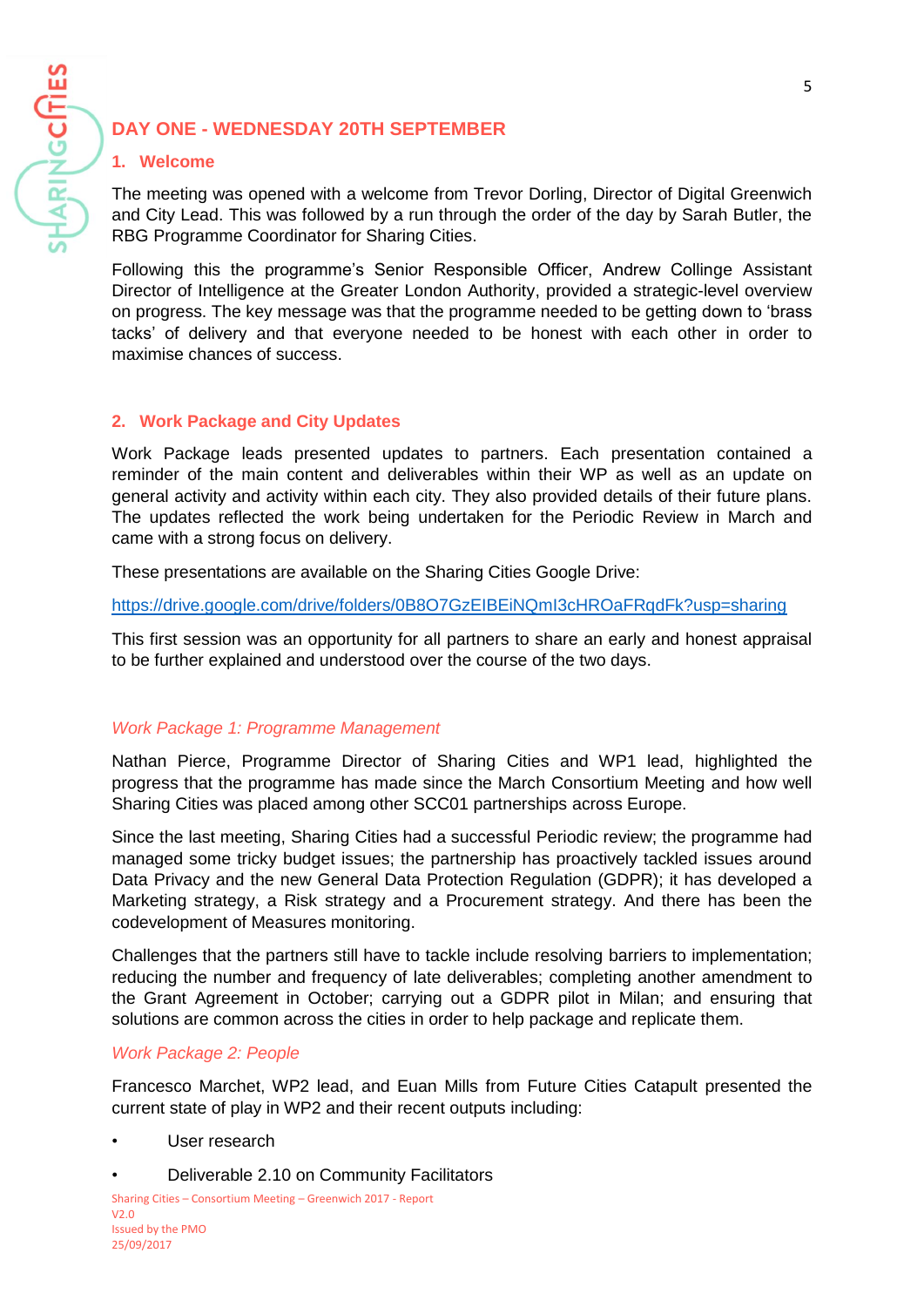# **DAY ONE - WEDNESDAY 20TH SEPTEMBER**

#### **1. Welcome**

**HARINGCITIES** 

The meeting was opened with a welcome from Trevor Dorling, Director of Digital Greenwich and City Lead. This was followed by a run through the order of the day by Sarah Butler, the RBG Programme Coordinator for Sharing Cities.

Following this the programme's Senior Responsible Officer, Andrew Collinge Assistant Director of Intelligence at the Greater London Authority, provided a strategic-level overview on progress. The key message was that the programme needed to be getting down to 'brass tacks' of delivery and that everyone needed to be honest with each other in order to maximise chances of success.

### **2. Work Package and City Updates**

Work Package leads presented updates to partners. Each presentation contained a reminder of the main content and deliverables within their WP as well as an update on general activity and activity within each city. They also provided details of their future plans. The updates reflected the work being undertaken for the Periodic Review in March and came with a strong focus on delivery.

These presentations are available on the Sharing Cities Google Drive:

<https://drive.google.com/drive/folders/0B8O7GzEIBEiNQmI3cHROaFRqdFk?usp=sharing>

This first session was an opportunity for all partners to share an early and honest appraisal to be further explained and understood over the course of the two days.

# *Work Package 1: Programme Management*

Nathan Pierce, Programme Director of Sharing Cities and WP1 lead, highlighted the progress that the programme has made since the March Consortium Meeting and how well Sharing Cities was placed among other SCC01 partnerships across Europe.

Since the last meeting, Sharing Cities had a successful Periodic review; the programme had managed some tricky budget issues; the partnership has proactively tackled issues around Data Privacy and the new General Data Protection Regulation (GDPR); it has developed a Marketing strategy, a Risk strategy and a Procurement strategy. And there has been the codevelopment of Measures monitoring.

Challenges that the partners still have to tackle include resolving barriers to implementation; reducing the number and frequency of late deliverables; completing another amendment to the Grant Agreement in October; carrying out a GDPR pilot in Milan; and ensuring that solutions are common across the cities in order to help package and replicate them.

#### *Work Package 2: People*

Francesco Marchet, WP2 lead, and Euan Mills from Future Cities Catapult presented the current state of play in WP2 and their recent outputs including:

- User research
- Deliverable 2.10 on Community Facilitators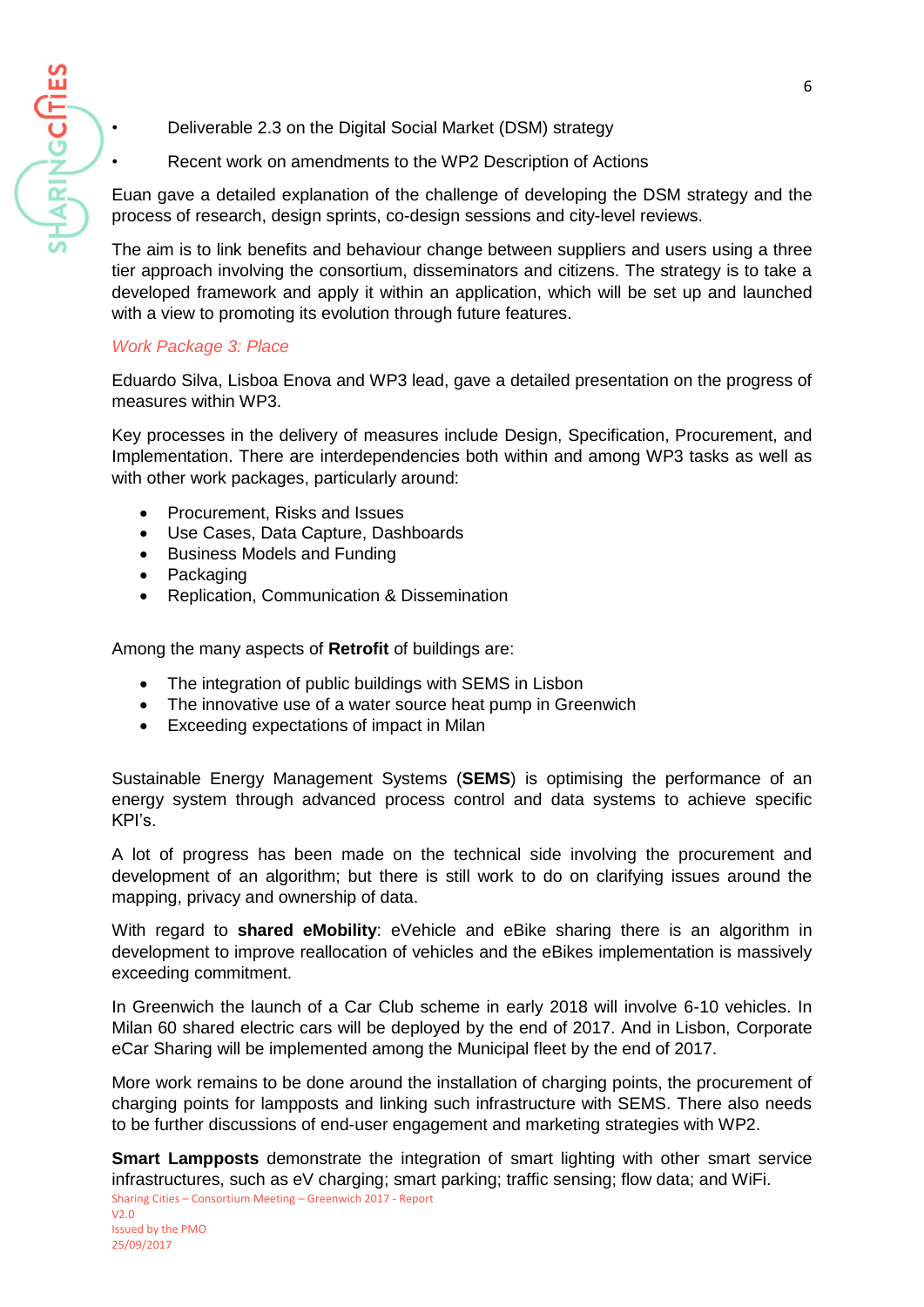

- Deliverable 2.3 on the Digital Social Market (DSM) strategy
- Recent work on amendments to the WP2 Description of Actions

Euan gave a detailed explanation of the challenge of developing the DSM strategy and the process of research, design sprints, co-design sessions and city-level reviews.

The aim is to link benefits and behaviour change between suppliers and users using a three tier approach involving the consortium, disseminators and citizens. The strategy is to take a developed framework and apply it within an application, which will be set up and launched with a view to promoting its evolution through future features.

## *Work Package 3: Place*

Eduardo Silva, Lisboa Enova and WP3 lead, gave a detailed presentation on the progress of measures within WP3.

Key processes in the delivery of measures include Design, Specification, Procurement, and Implementation. There are interdependencies both within and among WP3 tasks as well as with other work packages, particularly around:

- Procurement, Risks and Issues
- Use Cases, Data Capture, Dashboards
- Business Models and Funding
- Packaging
- Replication, Communication & Dissemination

Among the many aspects of **Retrofit** of buildings are:

- The integration of public buildings with SEMS in Lisbon
- The innovative use of a water source heat pump in Greenwich
- Exceeding expectations of impact in Milan

Sustainable Energy Management Systems (**SEMS**) is optimising the performance of an energy system through advanced process control and data systems to achieve specific KPI's.

A lot of progress has been made on the technical side involving the procurement and development of an algorithm; but there is still work to do on clarifying issues around the mapping, privacy and ownership of data.

With regard to **shared eMobility**: eVehicle and eBike sharing there is an algorithm in development to improve reallocation of vehicles and the eBikes implementation is massively exceeding commitment.

In Greenwich the launch of a Car Club scheme in early 2018 will involve 6-10 vehicles. In Milan 60 shared electric cars will be deployed by the end of 2017. And in Lisbon, Corporate eCar Sharing will be implemented among the Municipal fleet by the end of 2017.

More work remains to be done around the installation of charging points, the procurement of charging points for lampposts and linking such infrastructure with SEMS. There also needs to be further discussions of end-user engagement and marketing strategies with WP2.

Sharing Cities – Consortium Meeting – Greenwich 2017 - Report **Smart Lampposts** demonstrate the integration of smart lighting with other smart service infrastructures, such as eV charging; smart parking; traffic sensing; flow data; and WiFi.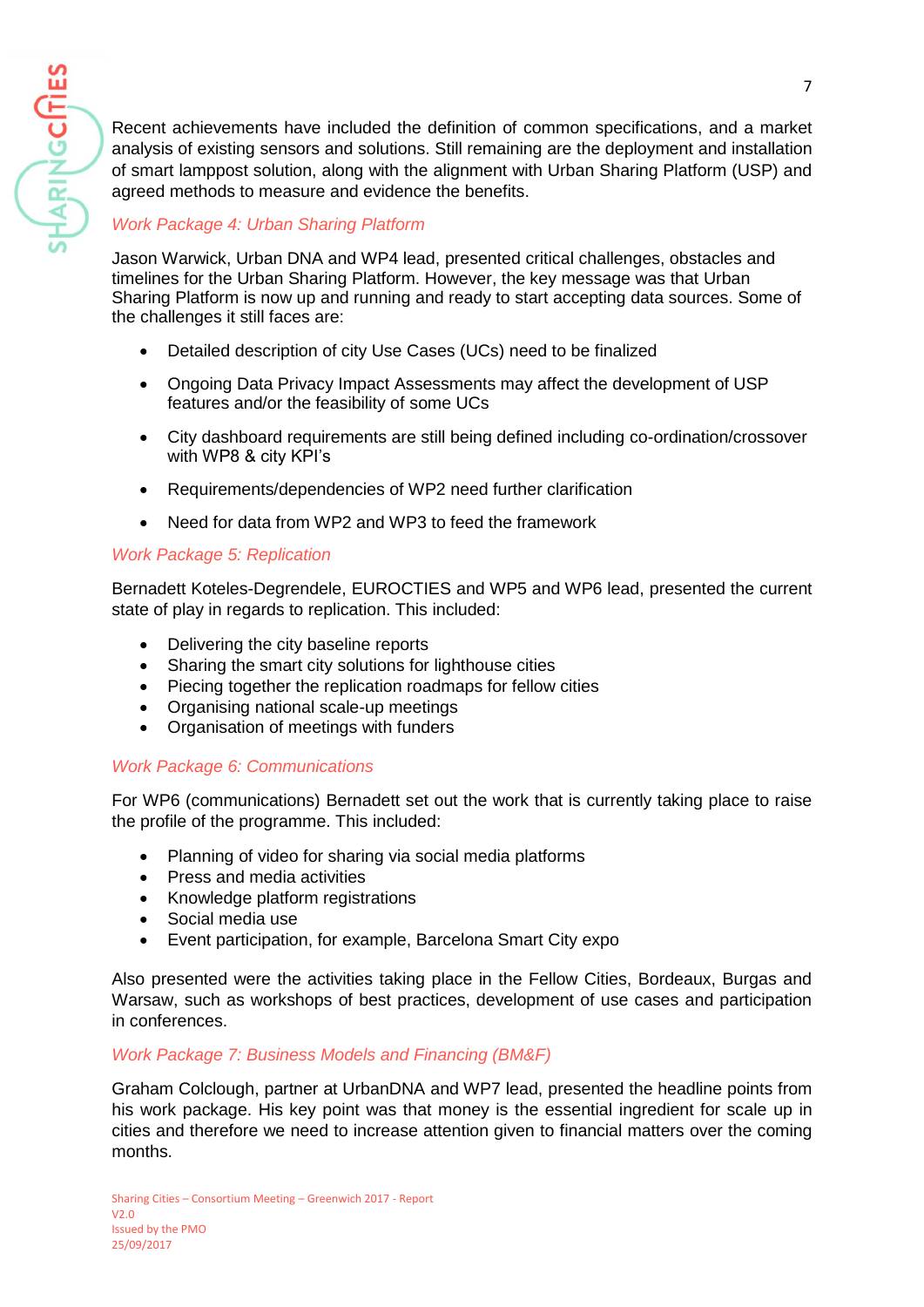Recent achievements have included the definition of common specifications, and a market analysis of existing sensors and solutions. Still remaining are the deployment and installation of smart lamppost solution, along with the alignment with Urban Sharing Platform (USP) and agreed methods to measure and evidence the benefits.

# *Work Package 4: Urban Sharing Platform*

HARINGCITIES

Jason Warwick, Urban DNA and WP4 lead, presented critical challenges, obstacles and timelines for the Urban Sharing Platform. However, the key message was that Urban Sharing Platform is now up and running and ready to start accepting data sources. Some of the challenges it still faces are:

- Detailed description of city Use Cases (UCs) need to be finalized
- Ongoing Data Privacy Impact Assessments may affect the development of USP features and/or the feasibility of some UCs
- City dashboard requirements are still being defined including co-ordination/crossover with WP8 & city KPI's
- Requirements/dependencies of WP2 need further clarification
- Need for data from WP2 and WP3 to feed the framework

# *Work Package 5: Replication*

Bernadett Koteles-Degrendele, EUROCTIES and WP5 and WP6 lead, presented the current state of play in regards to replication. This included:

- Delivering the city baseline reports
- Sharing the smart city solutions for lighthouse cities
- Piecing together the replication roadmaps for fellow cities
- Organising national scale-up meetings
- Organisation of meetings with funders

### *Work Package 6: Communications*

For WP6 (communications) Bernadett set out the work that is currently taking place to raise the profile of the programme. This included:

- Planning of video for sharing via social media platforms
- Press and media activities
- Knowledge platform registrations
- Social media use
- Event participation, for example, Barcelona Smart City expo

Also presented were the activities taking place in the Fellow Cities, Bordeaux, Burgas and Warsaw, such as workshops of best practices, development of use cases and participation in conferences.

### *Work Package 7: Business Models and Financing (BM&F)*

Graham Colclough, partner at UrbanDNA and WP7 lead, presented the headline points from his work package. His key point was that money is the essential ingredient for scale up in cities and therefore we need to increase attention given to financial matters over the coming months.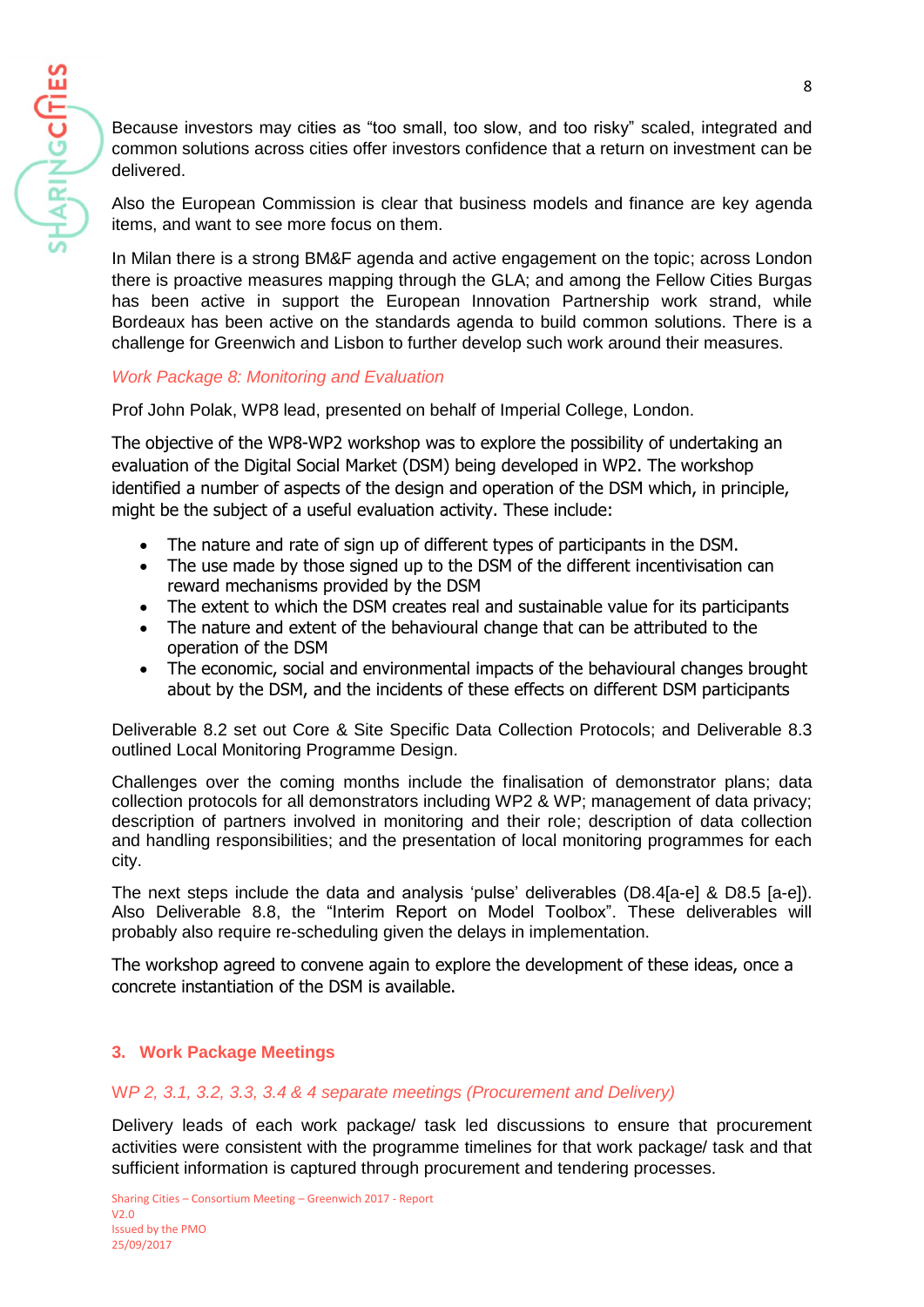Because investors may cities as "too small, too slow, and too risky" scaled, integrated and common solutions across cities offer investors confidence that a return on investment can be delivered.

Also the European Commission is clear that business models and finance are key agenda items, and want to see more focus on them.

In Milan there is a strong BM&F agenda and active engagement on the topic; across London there is proactive measures mapping through the GLA; and among the Fellow Cities Burgas has been active in support the European Innovation Partnership work strand, while Bordeaux has been active on the standards agenda to build common solutions. There is a challenge for Greenwich and Lisbon to further develop such work around their measures.

## *Work Package 8: Monitoring and Evaluation*

Prof John Polak, WP8 lead, presented on behalf of Imperial College, London.

The objective of the WP8-WP2 workshop was to explore the possibility of undertaking an evaluation of the Digital Social Market (DSM) being developed in WP2. The workshop identified a number of aspects of the design and operation of the DSM which, in principle, might be the subject of a useful evaluation activity. These include:

- The nature and rate of sign up of different types of participants in the DSM.
- The use made by those signed up to the DSM of the different incentivisation can reward mechanisms provided by the DSM
- The extent to which the DSM creates real and sustainable value for its participants
- The nature and extent of the behavioural change that can be attributed to the operation of the DSM
- The economic, social and environmental impacts of the behavioural changes brought about by the DSM, and the incidents of these effects on different DSM participants

Deliverable 8.2 set out Core & Site Specific Data Collection Protocols; and Deliverable 8.3 outlined Local Monitoring Programme Design.

Challenges over the coming months include the finalisation of demonstrator plans; data collection protocols for all demonstrators including WP2 & WP; management of data privacy; description of partners involved in monitoring and their role; description of data collection and handling responsibilities; and the presentation of local monitoring programmes for each city.

The next steps include the data and analysis 'pulse' deliverables (D8.4[a-e] & D8.5 [a-e]). Also Deliverable 8.8, the "Interim Report on Model Toolbox". These deliverables will probably also require re-scheduling given the delays in implementation.

The workshop agreed to convene again to explore the development of these ideas, once a concrete instantiation of the DSM is available.

### **3. Work Package Meetings**

### W*P 2, 3.1, 3.2, 3.3, 3.4 & 4 separate meetings (Procurement and Delivery)*

Delivery leads of each work package/ task led discussions to ensure that procurement activities were consistent with the programme timelines for that work package/ task and that sufficient information is captured through procurement and tendering processes.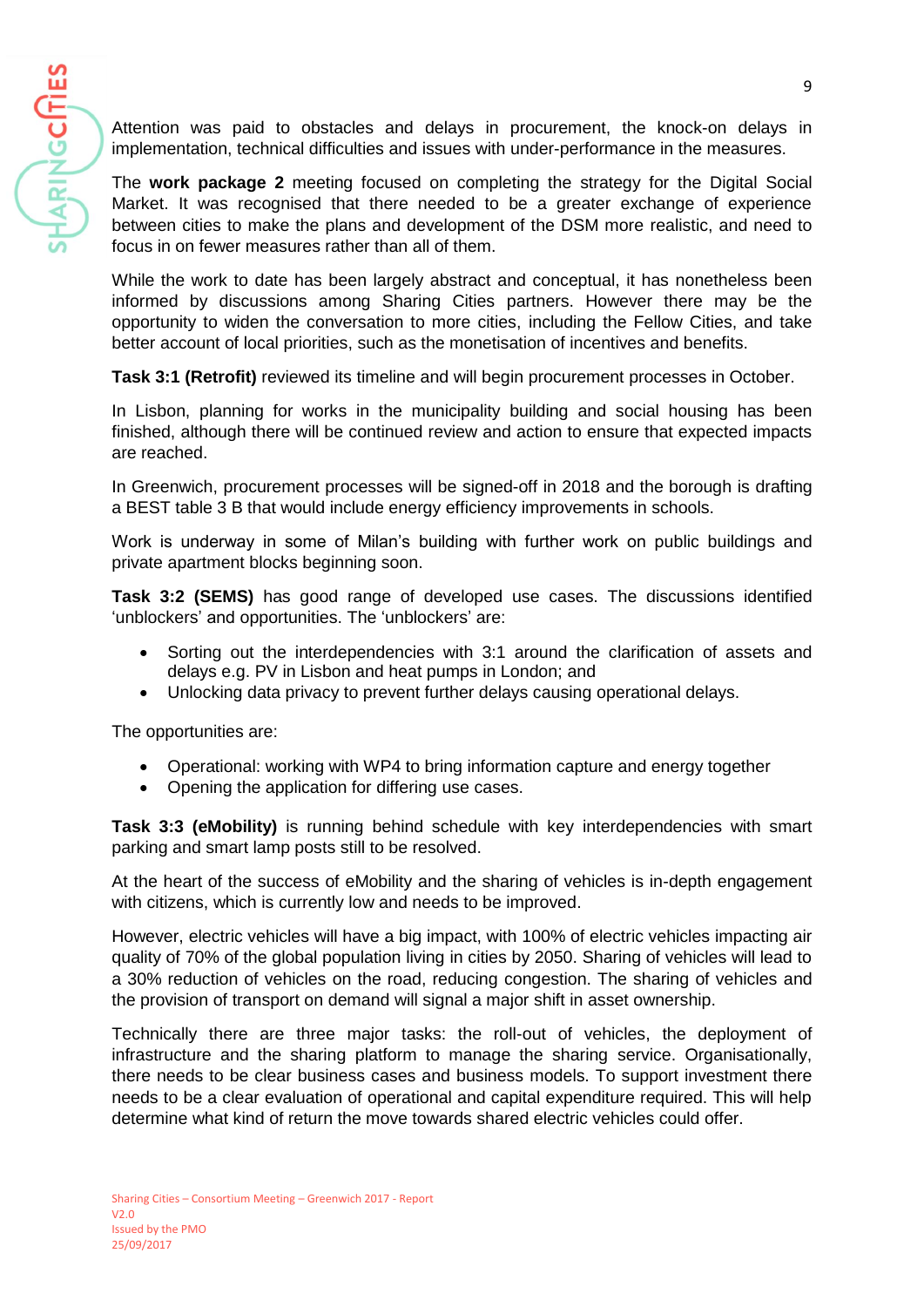Attention was paid to obstacles and delays in procurement, the knock-on delays in implementation, technical difficulties and issues with under-performance in the measures.

The **work package 2** meeting focused on completing the strategy for the Digital Social Market. It was recognised that there needed to be a greater exchange of experience between cities to make the plans and development of the DSM more realistic, and need to focus in on fewer measures rather than all of them.

While the work to date has been largely abstract and conceptual, it has nonetheless been informed by discussions among Sharing Cities partners. However there may be the opportunity to widen the conversation to more cities, including the Fellow Cities, and take better account of local priorities, such as the monetisation of incentives and benefits.

**Task 3:1 (Retrofit)** reviewed its timeline and will begin procurement processes in October.

In Lisbon, planning for works in the municipality building and social housing has been finished, although there will be continued review and action to ensure that expected impacts are reached.

In Greenwich, procurement processes will be signed-off in 2018 and the borough is drafting a BEST table 3 B that would include energy efficiency improvements in schools.

Work is underway in some of Milan's building with further work on public buildings and private apartment blocks beginning soon.

**Task 3:2 (SEMS)** has good range of developed use cases. The discussions identified 'unblockers' and opportunities. The 'unblockers' are:

- Sorting out the interdependencies with 3:1 around the clarification of assets and delays e.g. PV in Lisbon and heat pumps in London; and
- Unlocking data privacy to prevent further delays causing operational delays.

The opportunities are:

HARINGCITIES

- Operational: working with WP4 to bring information capture and energy together
- Opening the application for differing use cases.

**Task 3:3 (eMobility)** is running behind schedule with key interdependencies with smart parking and smart lamp posts still to be resolved.

At the heart of the success of eMobility and the sharing of vehicles is in-depth engagement with citizens, which is currently low and needs to be improved.

However, electric vehicles will have a big impact, with 100% of electric vehicles impacting air quality of 70% of the global population living in cities by 2050. Sharing of vehicles will lead to a 30% reduction of vehicles on the road, reducing congestion. The sharing of vehicles and the provision of transport on demand will signal a major shift in asset ownership.

Technically there are three major tasks: the roll-out of vehicles, the deployment of infrastructure and the sharing platform to manage the sharing service. Organisationally, there needs to be clear business cases and business models. To support investment there needs to be a clear evaluation of operational and capital expenditure required. This will help determine what kind of return the move towards shared electric vehicles could offer.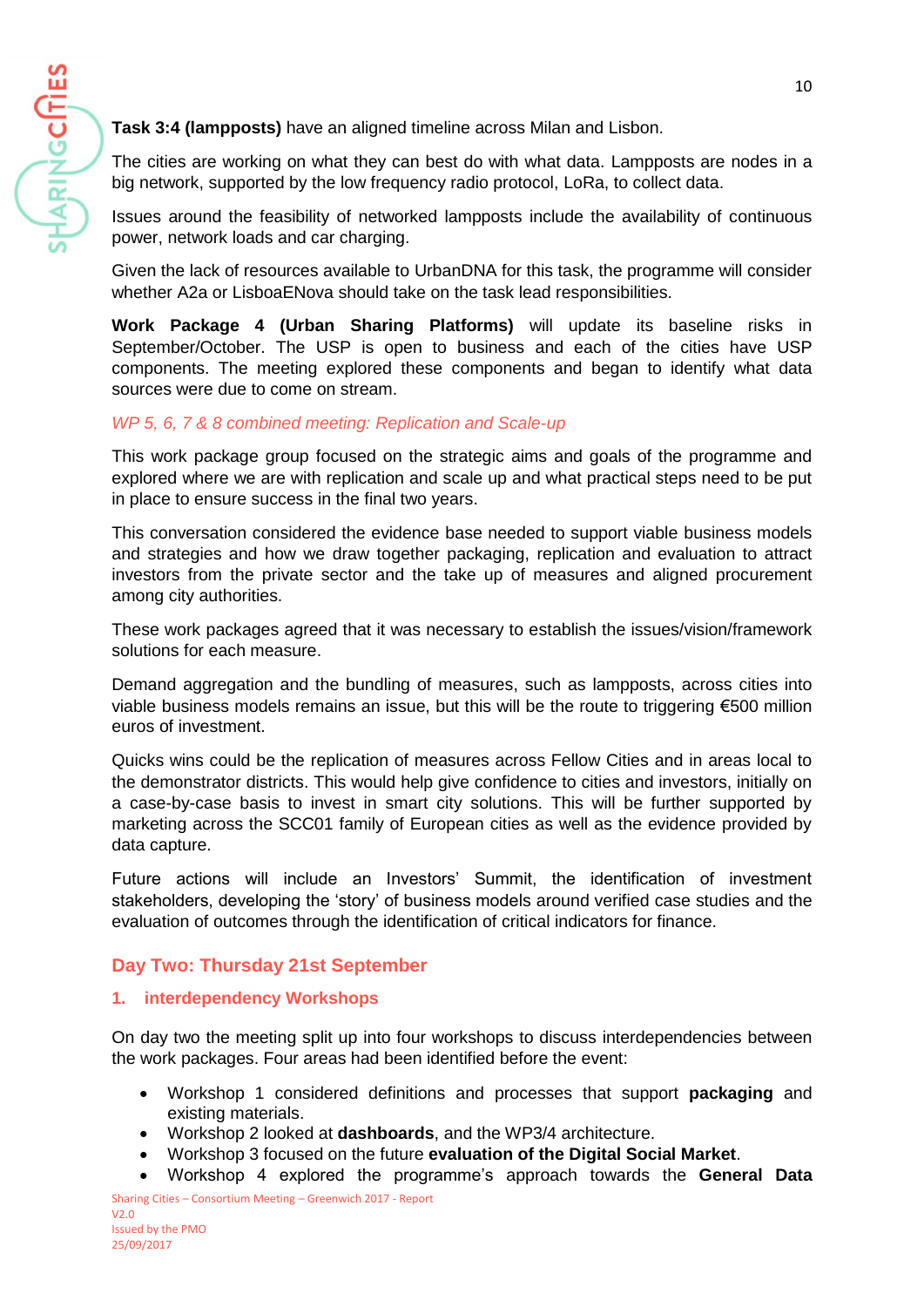

**Task 3:4 (lampposts)** have an aligned timeline across Milan and Lisbon.

The cities are working on what they can best do with what data. Lampposts are nodes in a big network, supported by the low frequency radio protocol, LoRa, to collect data.

Issues around the feasibility of networked lampposts include the availability of continuous power, network loads and car charging.

Given the lack of resources available to UrbanDNA for this task, the programme will consider whether A2a or LisboaENova should take on the task lead responsibilities.

**Work Package 4 (Urban Sharing Platforms)** will update its baseline risks in September/October. The USP is open to business and each of the cities have USP components. The meeting explored these components and began to identify what data sources were due to come on stream.

# *WP 5, 6, 7 & 8 combined meeting: Replication and Scale-up*

This work package group focused on the strategic aims and goals of the programme and explored where we are with replication and scale up and what practical steps need to be put in place to ensure success in the final two years.

This conversation considered the evidence base needed to support viable business models and strategies and how we draw together packaging, replication and evaluation to attract investors from the private sector and the take up of measures and aligned procurement among city authorities.

These work packages agreed that it was necessary to establish the issues/vision/framework solutions for each measure.

Demand aggregation and the bundling of measures, such as lampposts, across cities into viable business models remains an issue, but this will be the route to triggering  $\epsilon$ 500 million euros of investment.

Quicks wins could be the replication of measures across Fellow Cities and in areas local to the demonstrator districts. This would help give confidence to cities and investors, initially on a case-by-case basis to invest in smart city solutions. This will be further supported by marketing across the SCC01 family of European cities as well as the evidence provided by data capture.

Future actions will include an Investors' Summit, the identification of investment stakeholders, developing the 'story' of business models around verified case studies and the evaluation of outcomes through the identification of critical indicators for finance.

# **Day Two: Thursday 21st September**

### **1. interdependency Workshops**

On day two the meeting split up into four workshops to discuss interdependencies between the work packages. Four areas had been identified before the event:

- Workshop 1 considered definitions and processes that support **packaging** and existing materials.
- Workshop 2 looked at **dashboards**, and the WP3/4 architecture.
- Workshop 3 focused on the future **evaluation of the Digital Social Market**.
- Sharing Cities Consortium Meeting Greenwich 2017 Report • Workshop 4 explored the programme's approach towards the **General Data**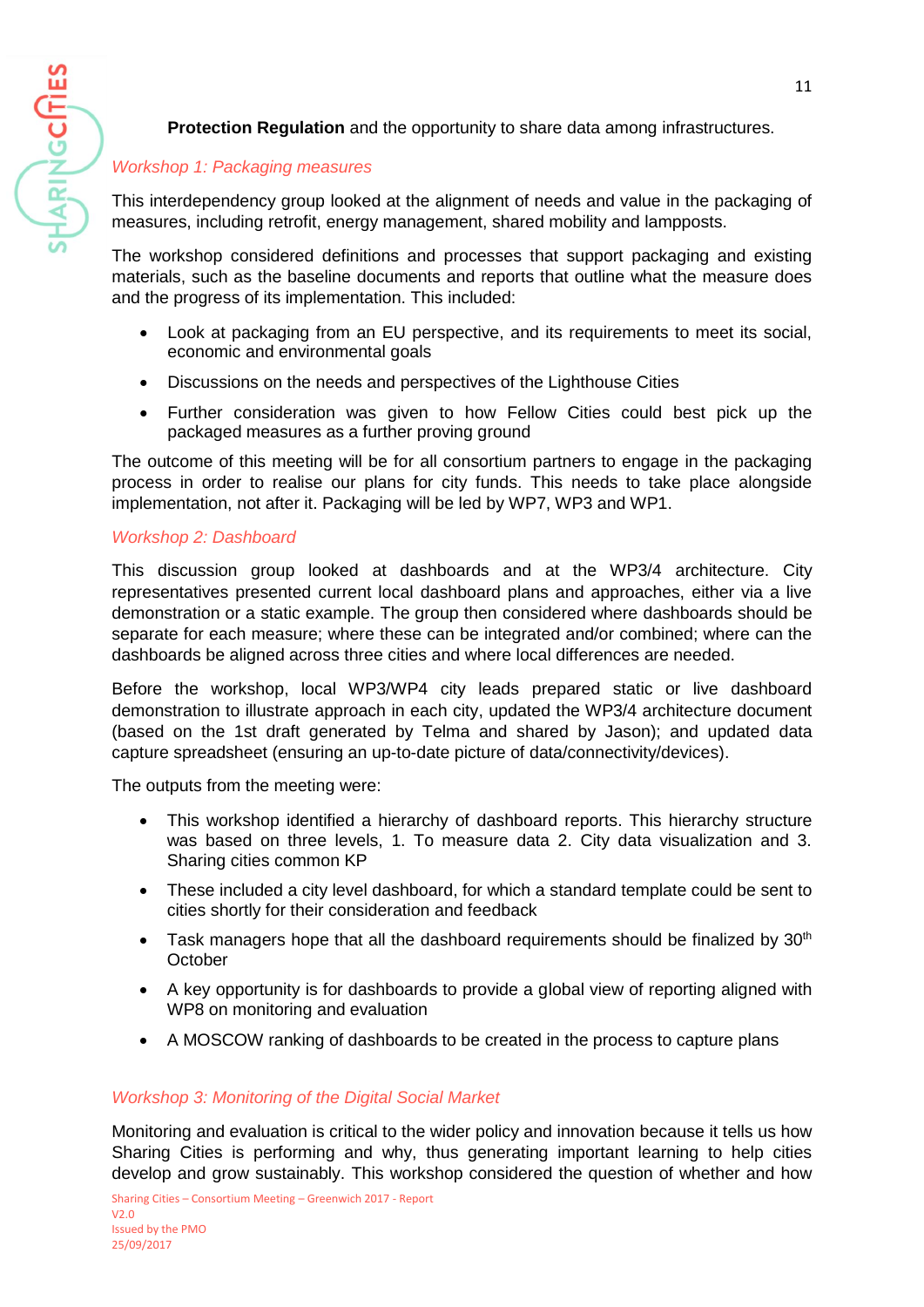

# **Protection Regulation** and the opportunity to share data among infrastructures.

## *Workshop 1: Packaging measures*

This interdependency group looked at the alignment of needs and value in the packaging of measures, including retrofit, energy management, shared mobility and lampposts.

The workshop considered definitions and processes that support packaging and existing materials, such as the baseline documents and reports that outline what the measure does and the progress of its implementation. This included:

- Look at packaging from an EU perspective, and its requirements to meet its social, economic and environmental goals
- Discussions on the needs and perspectives of the Lighthouse Cities
- Further consideration was given to how Fellow Cities could best pick up the packaged measures as a further proving ground

The outcome of this meeting will be for all consortium partners to engage in the packaging process in order to realise our plans for city funds. This needs to take place alongside implementation, not after it. Packaging will be led by WP7, WP3 and WP1.

### *Workshop 2: Dashboard*

This discussion group looked at dashboards and at the WP3/4 architecture. City representatives presented current local dashboard plans and approaches, either via a live demonstration or a static example. The group then considered where dashboards should be separate for each measure; where these can be integrated and/or combined; where can the dashboards be aligned across three cities and where local differences are needed.

Before the workshop, local WP3/WP4 city leads prepared static or live dashboard demonstration to illustrate approach in each city, updated the WP3/4 architecture document (based on the 1st draft generated by Telma and shared by Jason); and updated data capture spreadsheet (ensuring an up-to-date picture of data/connectivity/devices).

The outputs from the meeting were:

- This workshop identified a hierarchy of dashboard reports. This hierarchy structure was based on three levels, 1. To measure data 2. City data visualization and 3. Sharing cities common KP
- These included a city level dashboard, for which a standard template could be sent to cities shortly for their consideration and feedback
- Task managers hope that all the dashboard requirements should be finalized by  $30<sup>th</sup>$ **October**
- A key opportunity is for dashboards to provide a global view of reporting aligned with WP8 on monitoring and evaluation
- A MOSCOW ranking of dashboards to be created in the process to capture plans

### *Workshop 3: Monitoring of the Digital Social Market*

Monitoring and evaluation is critical to the wider policy and innovation because it tells us how Sharing Cities is performing and why, thus generating important learning to help cities develop and grow sustainably. This workshop considered the question of whether and how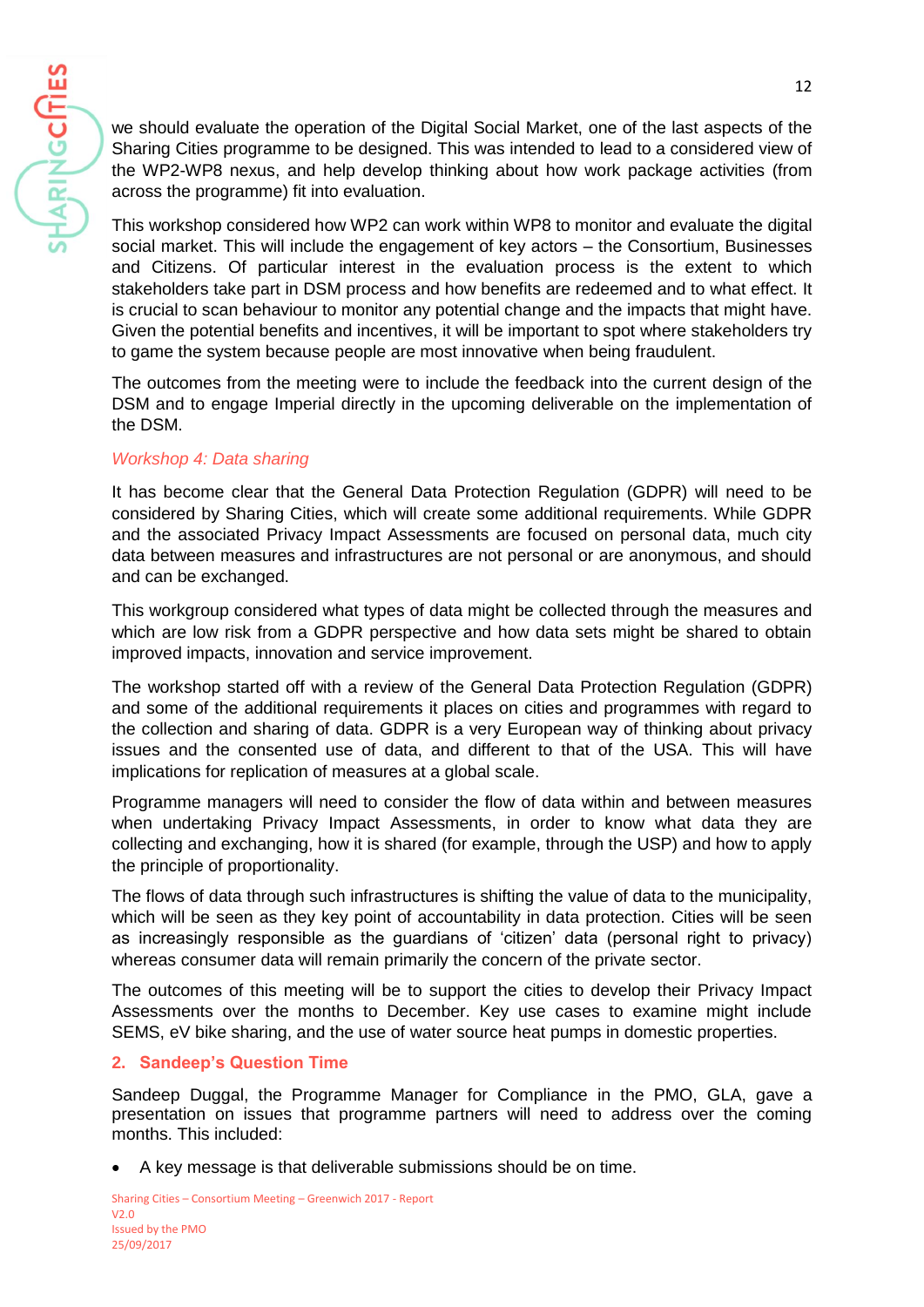we should evaluate the operation of the Digital Social Market, one of the last aspects of the Sharing Cities programme to be designed. This was intended to lead to a considered view of the WP2-WP8 nexus, and help develop thinking about how work package activities (from across the programme) fit into evaluation.

This workshop considered how WP2 can work within WP8 to monitor and evaluate the digital social market. This will include the engagement of key actors – the Consortium, Businesses and Citizens. Of particular interest in the evaluation process is the extent to which stakeholders take part in DSM process and how benefits are redeemed and to what effect. It is crucial to scan behaviour to monitor any potential change and the impacts that might have. Given the potential benefits and incentives, it will be important to spot where stakeholders try to game the system because people are most innovative when being fraudulent.

The outcomes from the meeting were to include the feedback into the current design of the DSM and to engage Imperial directly in the upcoming deliverable on the implementation of the DSM.

## *Workshop 4: Data sharing*

HARINGCITIES

It has become clear that the General Data Protection Regulation (GDPR) will need to be considered by Sharing Cities, which will create some additional requirements. While GDPR and the associated Privacy Impact Assessments are focused on personal data, much city data between measures and infrastructures are not personal or are anonymous, and should and can be exchanged.

This workgroup considered what types of data might be collected through the measures and which are low risk from a GDPR perspective and how data sets might be shared to obtain improved impacts, innovation and service improvement.

The workshop started off with a review of the General Data Protection Regulation (GDPR) and some of the additional requirements it places on cities and programmes with regard to the collection and sharing of data. GDPR is a very European way of thinking about privacy issues and the consented use of data, and different to that of the USA. This will have implications for replication of measures at a global scale.

Programme managers will need to consider the flow of data within and between measures when undertaking Privacy Impact Assessments, in order to know what data they are collecting and exchanging, how it is shared (for example, through the USP) and how to apply the principle of proportionality.

The flows of data through such infrastructures is shifting the value of data to the municipality, which will be seen as they key point of accountability in data protection. Cities will be seen as increasingly responsible as the guardians of 'citizen' data (personal right to privacy) whereas consumer data will remain primarily the concern of the private sector.

The outcomes of this meeting will be to support the cities to develop their Privacy Impact Assessments over the months to December. Key use cases to examine might include SEMS, eV bike sharing, and the use of water source heat pumps in domestic properties.

# **2. Sandeep's Question Time**

Sandeep Duggal, the Programme Manager for Compliance in the PMO, GLA, gave a presentation on issues that programme partners will need to address over the coming months. This included:

• A key message is that deliverable submissions should be on time.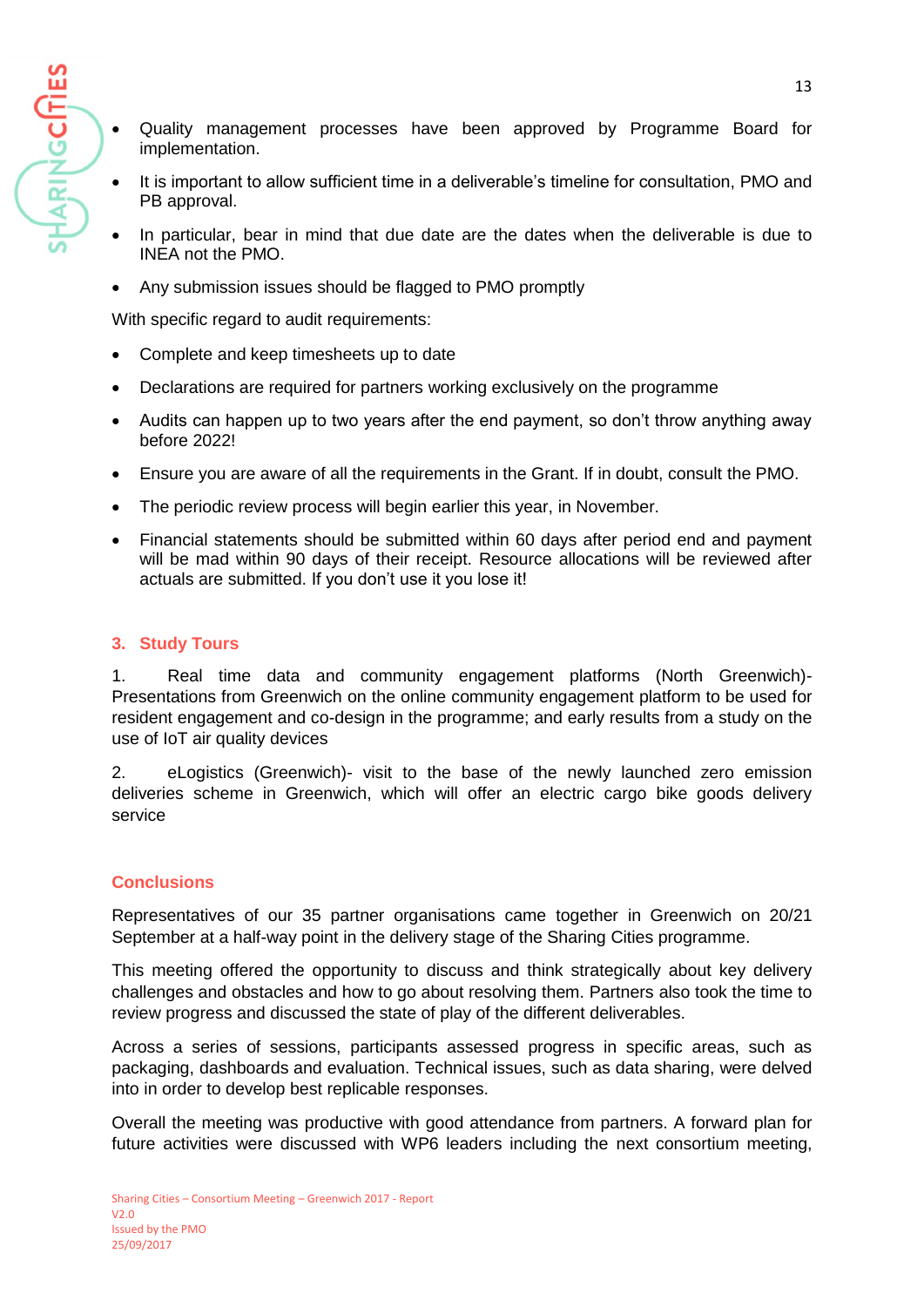HARING**CITIES** 

- Quality management processes have been approved by Programme Board for implementation.
- It is important to allow sufficient time in a deliverable's timeline for consultation, PMO and PB approval.
- In particular, bear in mind that due date are the dates when the deliverable is due to INEA not the PMO.
- Any submission issues should be flagged to PMO promptly

With specific regard to audit requirements:

- Complete and keep timesheets up to date
- Declarations are required for partners working exclusively on the programme
- Audits can happen up to two years after the end payment, so don't throw anything away before 2022!
- Ensure you are aware of all the requirements in the Grant. If in doubt, consult the PMO.
- The periodic review process will begin earlier this year, in November.
- Financial statements should be submitted within 60 days after period end and payment will be mad within 90 days of their receipt. Resource allocations will be reviewed after actuals are submitted. If you don't use it you lose it!

### **3. Study Tours**

1. Real time data and community engagement platforms (North Greenwich)- Presentations from Greenwich on the online community engagement platform to be used for resident engagement and co-design in the programme; and early results from a study on the use of IoT air quality devices

2. eLogistics (Greenwich)- visit to the base of the newly launched zero emission deliveries scheme in Greenwich, which will offer an electric cargo bike goods delivery service

# **Conclusions**

Representatives of our 35 partner organisations came together in Greenwich on 20/21 September at a half-way point in the delivery stage of the Sharing Cities programme.

This meeting offered the opportunity to discuss and think strategically about key delivery challenges and obstacles and how to go about resolving them. Partners also took the time to review progress and discussed the state of play of the different deliverables.

Across a series of sessions, participants assessed progress in specific areas, such as packaging, dashboards and evaluation. Technical issues, such as data sharing, were delved into in order to develop best replicable responses.

Overall the meeting was productive with good attendance from partners. A forward plan for future activities were discussed with WP6 leaders including the next consortium meeting,